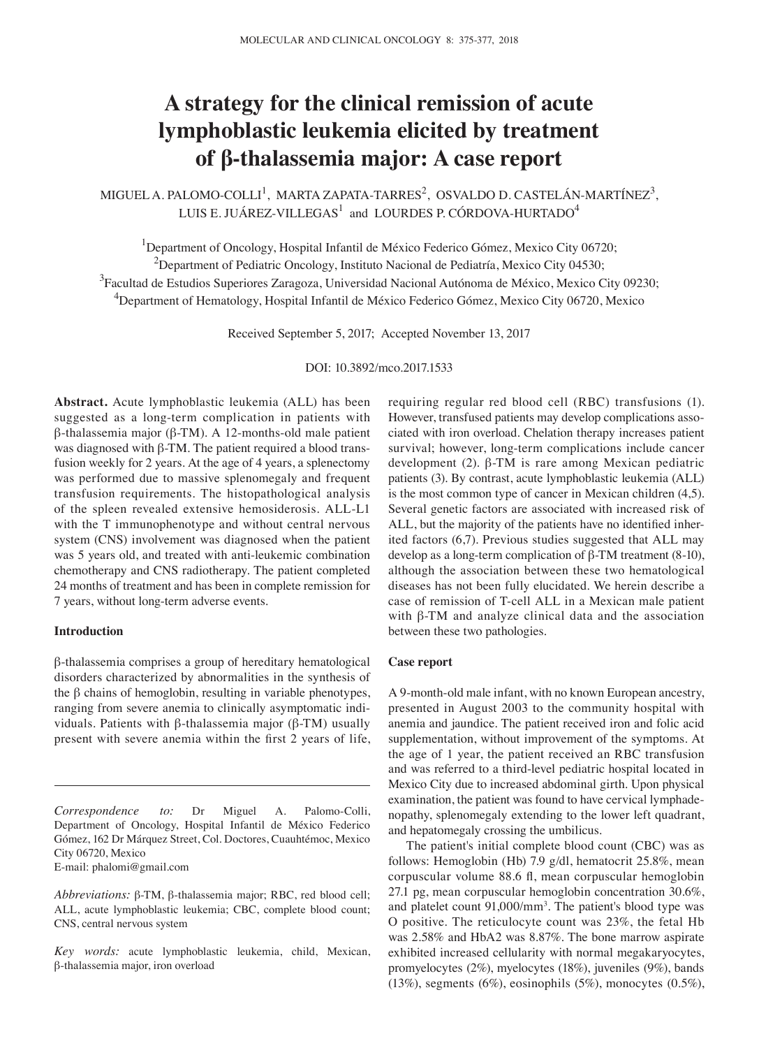# **A strategy for the clinical remission of acute lymphoblastic leukemia elicited by treatment of β‑thalassemia major: A case report**

MIGUEL A. PALOMO-COLLI<sup>1</sup>, MARTA ZAPATA-TARRES<sup>2</sup>, OSVALDO D. CASTELÁN-MARTÍNEZ<sup>3</sup>, LUIS E. JUÁREZ-VILLEGAS $^1$  and LOURDES P. CÓRDOVA-HURTADO $^4$ 

<sup>1</sup>Department of Oncology, Hospital Infantil de México Federico Gómez, Mexico City 06720;

<sup>2</sup>Department of Pediatric Oncology, Instituto Nacional de Pediatría, Mexico City 04530;

<sup>3</sup> Facultad de Estudios Superiores Zaragoza, Universidad Nacional Autónoma de México, Mexico City 09230;

4 Department of Hematology, Hospital Infantil de México Federico Gómez, Mexico City 06720, Mexico

Received September 5, 2017; Accepted November 13, 2017

DOI: 10.3892/mco.2017.1533

**Abstract.** Acute lymphoblastic leukemia (ALL) has been suggested as a long-term complication in patients with β-thalassemia major (β-TM). A 12-months-old male patient was diagnosed with β-TM. The patient required a blood transfusion weekly for 2 years. At the age of 4 years, a splenectomy was performed due to massive splenomegaly and frequent transfusion requirements. The histopathological analysis of the spleen revealed extensive hemosiderosis. ALL-L1 with the T immunophenotype and without central nervous system (CNS) involvement was diagnosed when the patient was 5 years old, and treated with anti-leukemic combination chemotherapy and CNS radiotherapy. The patient completed 24 months of treatment and has been in complete remission for 7 years, without long-term adverse events.

## **Introduction**

β-thalassemia comprises a group of hereditary hematological disorders characterized by abnormalities in the synthesis of the β chains of hemoglobin, resulting in variable phenotypes, ranging from severe anemia to clinically asymptomatic individuals. Patients with β-thalassemia major (β-TM) usually present with severe anemia within the first 2 years of life,

*Correspondence to:* Dr Miguel A. Palomo-Colli, Department of Oncology, Hospital Infantil de México Federico Gómez, 162 Dr Márquez Street, Col. Doctores, Cuauhtémoc, Mexico City 06720, Mexico

E-mail: phalomi@gmail.com

requiring regular red blood cell (RBC) transfusions (1). However, transfused patients may develop complications associated with iron overload. Chelation therapy increases patient survival; however, long-term complications include cancer development (2). β-TM is rare among Mexican pediatric patients (3). By contrast, acute lymphoblastic leukemia (ALL) is the most common type of cancer in Mexican children (4,5). Several genetic factors are associated with increased risk of ALL, but the majority of the patients have no identified inherited factors (6,7). Previous studies suggested that ALL may develop as a long-term complication of β-TM treatment (8-10), although the association between these two hematological diseases has not been fully elucidated. We herein describe a case of remission of T-cell ALL in a Mexican male patient with β-TM and analyze clinical data and the association between these two pathologies.

## **Case report**

A 9-month-old male infant, with no known European ancestry, presented in August 2003 to the community hospital with anemia and jaundice. The patient received iron and folic acid supplementation, without improvement of the symptoms. At the age of 1 year, the patient received an RBC transfusion and was referred to a third-level pediatric hospital located in Mexico City due to increased abdominal girth. Upon physical examination, the patient was found to have cervical lymphadenopathy, splenomegaly extending to the lower left quadrant, and hepatomegaly crossing the umbilicus.

The patient's initial complete blood count (CBC) was as follows: Hemoglobin (Hb) 7.9 g/dl, hematocrit 25.8%, mean corpuscular volume 88.6 fl, mean corpuscular hemoglobin 27.1 pg, mean corpuscular hemoglobin concentration 30.6%, and platelet count 91,000/mm<sup>3</sup>. The patient's blood type was O positive. The reticulocyte count was 23%, the fetal Hb was 2.58% and HbA2 was 8.87%. The bone marrow aspirate exhibited increased cellularity with normal megakaryocytes, promyelocytes (2%), myelocytes (18%), juveniles (9%), bands (13%), segments (6%), eosinophils (5%), monocytes (0.5%),

*Abbreviations:* β-TM, β-thalassemia major; RBC, red blood cell; ALL, acute lymphoblastic leukemia; CBC, complete blood count; CNS, central nervous system

*Key words:* acute lymphoblastic leukemia, child, Mexican, β-thalassemia major, iron overload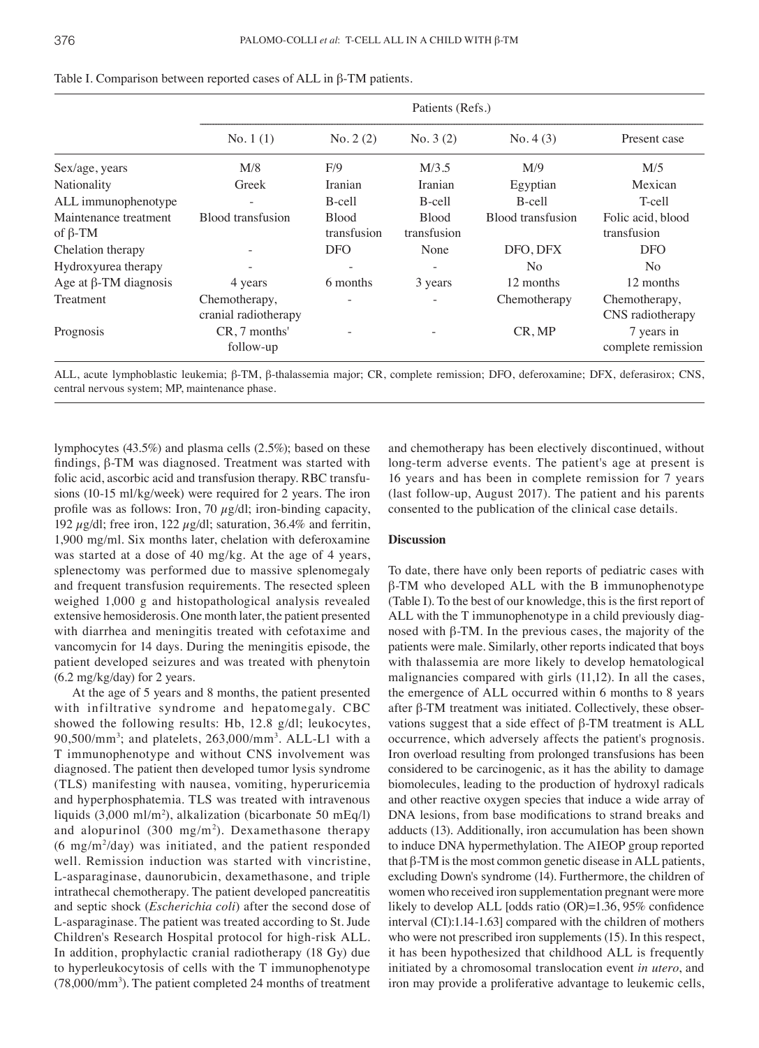|                              | Patients (Refs.)                      |                             |                             |                   |                                   |  |
|------------------------------|---------------------------------------|-----------------------------|-----------------------------|-------------------|-----------------------------------|--|
|                              | No. $1(1)$                            | No. 2(2)                    | No. $3(2)$                  | No. 4(3)          | Present case                      |  |
| Sex/age, years               | M/8                                   | F/9                         | M/3.5                       | M/9               | M/5                               |  |
| Nationality                  | Greek                                 | Iranian                     | Iranian                     | Egyptian          | Mexican                           |  |
| ALL immunophenotype          | $\overline{\phantom{a}}$              | B-cell                      | B-cell                      | B-cell            | T-cell                            |  |
| Maintenance treatment        | Blood transfusion                     | <b>Blood</b><br>transfusion | <b>Blood</b><br>transfusion | Blood transfusion | Folic acid, blood                 |  |
| of $\beta$ -TM               |                                       |                             |                             |                   | transfusion                       |  |
| Chelation therapy            |                                       | <b>DFO</b>                  | None                        | DFO, DFX          | DFO                               |  |
| Hydroxyurea therapy          |                                       |                             |                             | N <sub>o</sub>    | N <sub>o</sub>                    |  |
| Age at $\beta$ -TM diagnosis | 4 years                               | 6 months                    | 3 years                     | 12 months         | 12 months                         |  |
| Treatment                    | Chemotherapy,<br>cranial radiotherapy |                             |                             | Chemotherapy      | Chemotherapy,<br>CNS radiotherapy |  |
| Prognosis                    | CR, 7 months'<br>follow-up            |                             |                             | CR, MP            | 7 years in<br>complete remission  |  |

| Table I. Comparison between reported cases of ALL in $\beta$ -TM patients. |  |  |  |
|----------------------------------------------------------------------------|--|--|--|
|----------------------------------------------------------------------------|--|--|--|

ALL, acute lymphoblastic leukemia; β-TM, β-thalassemia major; CR, complete remission; DFO, deferoxamine; DFX, deferasirox; CNS, central nervous system; MP, maintenance phase.

lymphocytes (43.5%) and plasma cells (2.5%); based on these findings, β-TM was diagnosed. Treatment was started with folic acid, ascorbic acid and transfusion therapy. RBC transfusions (10-15 ml/kg/week) were required for 2 years. The iron profile was as follows: Iron, 70 *µ*g/dl; iron-binding capacity, 192 *µ*g/dl; free iron, 122 *µ*g/dl; saturation, 36.4% and ferritin, 1,900 mg/ml. Six months later, chelation with deferoxamine was started at a dose of 40 mg/kg. At the age of 4 years, splenectomy was performed due to massive splenomegaly and frequent transfusion requirements. The resected spleen weighed 1,000 g and histopathological analysis revealed extensive hemosiderosis. One month later, the patient presented with diarrhea and meningitis treated with cefotaxime and vancomycin for 14 days. During the meningitis episode, the patient developed seizures and was treated with phenytoin (6.2 mg/kg/day) for 2 years.

At the age of 5 years and 8 months, the patient presented with infiltrative syndrome and hepatomegaly. CBC showed the following results: Hb, 12.8 g/dl; leukocytes, 90,500/mm3 ; and platelets, 263,000/mm3 . ALL-L1 with a T immunophenotype and without CNS involvement was diagnosed. The patient then developed tumor lysis syndrome (TLS) manifesting with nausea, vomiting, hyperuricemia and hyperphosphatemia. TLS was treated with intravenous liquids (3,000 ml/m2 ), alkalization (bicarbonate 50 mEq/l) and alopurinol (300 mg/m<sup>2</sup>). Dexamethasone therapy (6 mg/m2 /day) was initiated, and the patient responded well. Remission induction was started with vincristine, L-asparaginase, daunorubicin, dexamethasone, and triple intrathecal chemotherapy. The patient developed pancreatitis and septic shock (*Escherichia coli*) after the second dose of L-asparaginase. The patient was treated according to St. Jude Children's Research Hospital protocol for high-risk ALL. In addition, prophylactic cranial radiotherapy (18 Gy) due to hyperleukocytosis of cells with the T immunophenotype (78,000/mm3 ). The patient completed 24 months of treatment and chemotherapy has been electively discontinued, without long-term adverse events. The patient's age at present is 16 years and has been in complete remission for 7 years (last follow-up, August 2017). The patient and his parents consented to the publication of the clinical case details.

#### **Discussion**

To date, there have only been reports of pediatric cases with β-TM who developed ALL with the B immunophenotype (Table I). To the best of our knowledge, this is the first report of ALL with the T immunophenotype in a child previously diagnosed with β-TM. In the previous cases, the majority of the patients were male. Similarly, other reports indicated that boys with thalassemia are more likely to develop hematological malignancies compared with girls (11,12). In all the cases, the emergence of ALL occurred within 6 months to 8 years after β-TM treatment was initiated. Collectively, these observations suggest that a side effect of β-TM treatment is ALL occurrence, which adversely affects the patient's prognosis. Iron overload resulting from prolonged transfusions has been considered to be carcinogenic, as it has the ability to damage biomolecules, leading to the production of hydroxyl radicals and other reactive oxygen species that induce a wide array of DNA lesions, from base modifications to strand breaks and adducts (13). Additionally, iron accumulation has been shown to induce DNA hypermethylation. The AIEOP group reported that β-TM is the most common genetic disease in ALL patients, excluding Down's syndrome (14). Furthermore, the children of women who received iron supplementation pregnant were more likely to develop ALL [odds ratio (OR)=1.36, 95% confidence interval (CI):1.14-1.63] compared with the children of mothers who were not prescribed iron supplements (15). In this respect, it has been hypothesized that childhood ALL is frequently initiated by a chromosomal translocation event *in utero*, and iron may provide a proliferative advantage to leukemic cells,